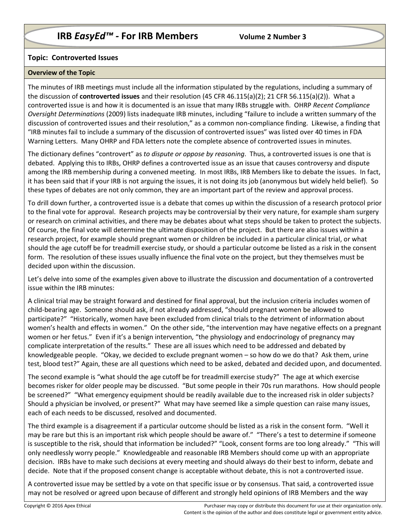# **Topic: Controverted Issues**

#### **Overview of the Topic**

The minutes of IRB meetings must include all the information stipulated by the regulations, including a summary of the discussion of **controverted issues** and their resolution (45 CFR 46.115(a)(2); 21 CFR 56.115(a)(2)). What a controverted issue is and how it is documented is an issue that many IRBs struggle with. OHRP *Recent Compliance Oversight Determinations* (2009) lists inadequate IRB minutes, including "failure to include a written summary of the discussion of controverted issues and their resolution," as a common non-compliance finding. Likewise, a finding that "IRB minutes fail to include a summary of the discussion of controverted issues" was listed over 40 times in FDA Warning Letters. Many OHRP and FDA letters note the complete absence of controverted issues in minutes.

The dictionary defines "controvert" as *to dispute or oppose by reasoning*. Thus, a controverted issues is one that is debated. Applying this to IRBs, OHRP defines a controverted issue as an issue that causes controversy and dispute among the IRB membership during a convened meeting. In most IRBs, IRB Members like to debate the issues. In fact, it has been said that if your IRB is not arguing the issues, it is not doing its job (anonymous but widely held belief). So these types of debates are not only common, they are an important part of the review and approval process.

To drill down further, a controverted issue is a debate that comes up within the discussion of a research protocol prior to the final vote for approval. Research projects may be controversial by their very nature, for example sham surgery or research on criminal activities, and there may be debates about what steps should be taken to protect the subjects. Of course, the final vote will determine the ultimate disposition of the project. But there are also issues within a research project, for example should pregnant women or children be included in a particular clinical trial, or what should the age cutoff be for treadmill exercise study, or should a particular outcome be listed as a risk in the consent form. The resolution of these issues usually influence the final vote on the project, but they themselves must be decided upon within the discussion.

Let's delve into some of the examples given above to illustrate the discussion and documentation of a controverted issue within the IRB minutes:

A clinical trial may be straight forward and destined for final approval, but the inclusion criteria includes women of child-bearing age. Someone should ask, if not already addressed, "should pregnant women be allowed to participate?" "Historically, women have been excluded from clinical trials to the detriment of information about women's health and effects in women." On the other side, "the intervention may have negative effects on a pregnant women or her fetus." Even if it's a benign intervention, "the physiology and endocrinology of pregnancy may complicate interpretation of the results." These are all issues which need to be addressed and debated by knowledgeable people. "Okay, we decided to exclude pregnant women – so how do we do that? Ask them, urine test, blood test?" Again, these are all questions which need to be asked, debated and decided upon, and documented.

The second example is "what should the age cutoff be for treadmill exercise study?" The age at which exercise becomes risker for older people may be discussed. "But some people in their 70s run marathons. How should people be screened?" "What emergency equipment should be readily available due to the increased risk in older subjects? Should a physician be involved, or present?" What may have seemed like a simple question can raise many issues, each of each needs to be discussed, resolved and documented.

The third example is a disagreement if a particular outcome should be listed as a risk in the consent form. "Well it may be rare but this is an important risk which people should be aware of." "There's a test to determine if someone is susceptible to the risk, should that information be included?" "Look, consent forms are too long already." "This will only needlessly worry people." Knowledgeable and reasonable IRB Members should come up with an appropriate decision. IRBs have to make such decisions at every meeting and should always do their best to inform, debate and decide. Note that if the proposed consent change is acceptable without debate, this is not a controverted issue.

A controverted issue may be settled by a vote on that specific issue or by consensus. That said, a controverted issue may not be resolved or agreed upon because of different and strongly held opinions of IRB Members and the way